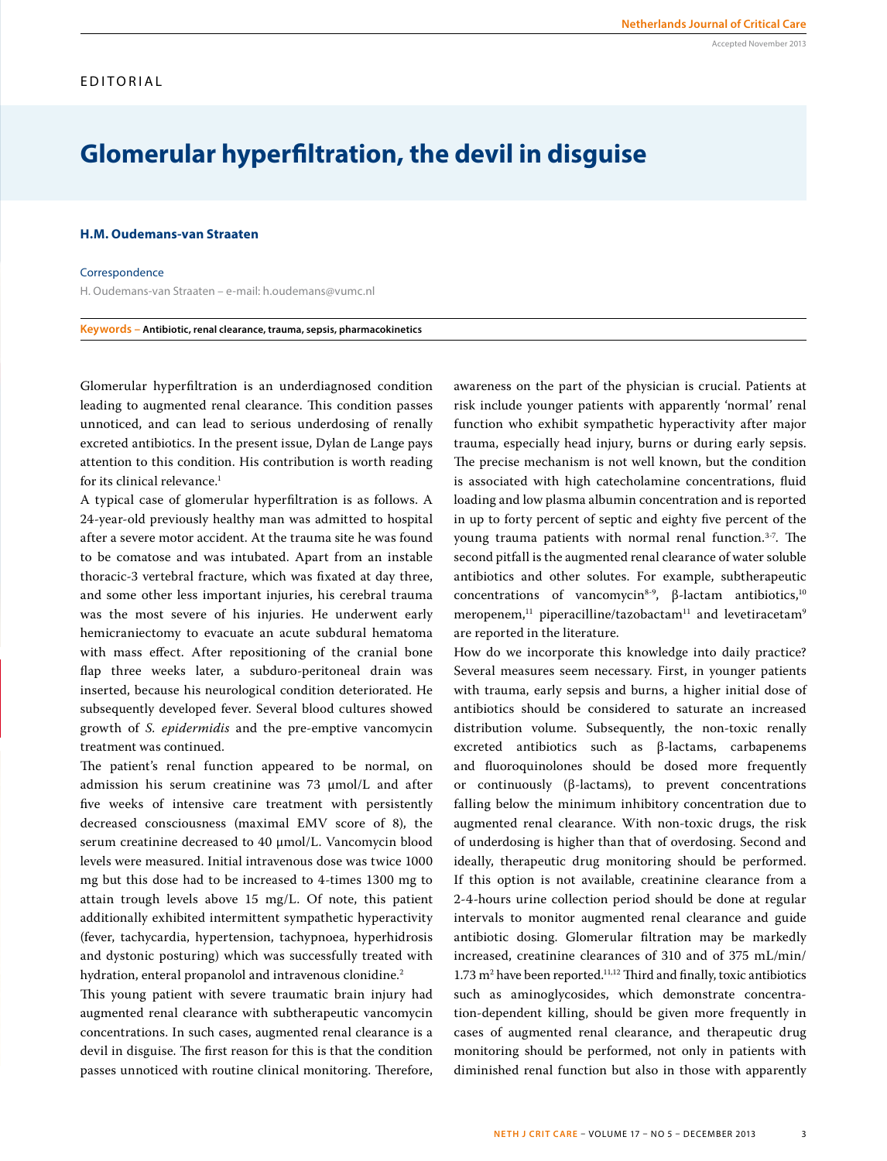# **Glomerular hyperfiltration, the devil in disguise**

## **H.M. Oudemans-van Straaten**

#### **Correspondence**

H. Oudemans-van Straaten – e-mail: h.oudemans@vumc.nl

### **Keywords – Antibiotic, renal clearance, trauma, sepsis, pharmacokinetics**

Glomerular hyperfiltration is an underdiagnosed condition leading to augmented renal clearance. This condition passes unnoticed, and can lead to serious underdosing of renally excreted antibiotics. In the present issue, Dylan de Lange pays attention to this condition. His contribution is worth reading for its clinical relevance.<sup>1</sup>

A typical case of glomerular hyperfiltration is as follows. A 24-year-old previously healthy man was admitted to hospital after a severe motor accident. At the trauma site he was found to be comatose and was intubated. Apart from an instable thoracic-3 vertebral fracture, which was fixated at day three, and some other less important injuries, his cerebral trauma was the most severe of his injuries. He underwent early hemicraniectomy to evacuate an acute subdural hematoma with mass effect. After repositioning of the cranial bone flap three weeks later, a subduro-peritoneal drain was inserted, because his neurological condition deteriorated. He subsequently developed fever. Several blood cultures showed growth of *S. epidermidis* and the pre-emptive vancomycin treatment was continued.

The patient's renal function appeared to be normal, on admission his serum creatinine was 73 µmol/L and after five weeks of intensive care treatment with persistently decreased consciousness (maximal EMV score of 8), the serum creatinine decreased to 40 µmol/L. Vancomycin blood levels were measured. Initial intravenous dose was twice 1000 mg but this dose had to be increased to 4-times 1300 mg to attain trough levels above 15 mg/L. Of note, this patient additionally exhibited intermittent sympathetic hyperactivity (fever, tachycardia, hypertension, tachypnoea, hyperhidrosis and dystonic posturing) which was successfully treated with hydration, enteral propanolol and intravenous clonidine.<sup>2</sup>

This young patient with severe traumatic brain injury had augmented renal clearance with subtherapeutic vancomycin concentrations. In such cases, augmented renal clearance is a devil in disguise. The first reason for this is that the condition passes unnoticed with routine clinical monitoring. Therefore,

awareness on the part of the physician is crucial. Patients at risk include younger patients with apparently 'normal' renal function who exhibit sympathetic hyperactivity after major trauma, especially head injury, burns or during early sepsis. The precise mechanism is not well known, but the condition is associated with high catecholamine concentrations, fluid loading and low plasma albumin concentration and is reported in up to forty percent of septic and eighty five percent of the young trauma patients with normal renal function.3-7. The second pitfall is the augmented renal clearance of water soluble antibiotics and other solutes. For example, subtherapeutic concentrations of vancomycin<sup>8-9</sup>, β-lactam antibiotics,<sup>10</sup>  $meropenem<sup>11</sup>$  piperacilline/tazobactam<sup>11</sup> and levetiracetam<sup>9</sup> are reported in the literature.

How do we incorporate this knowledge into daily practice? Several measures seem necessary. First, in younger patients with trauma, early sepsis and burns, a higher initial dose of antibiotics should be considered to saturate an increased distribution volume. Subsequently, the non-toxic renally excreted antibiotics such as β-lactams, carbapenems and fluoroquinolones should be dosed more frequently or continuously (β-lactams), to prevent concentrations falling below the minimum inhibitory concentration due to augmented renal clearance. With non-toxic drugs, the risk of underdosing is higher than that of overdosing. Second and ideally, therapeutic drug monitoring should be performed. If this option is not available, creatinine clearance from a 2-4-hours urine collection period should be done at regular intervals to monitor augmented renal clearance and guide antibiotic dosing. Glomerular filtration may be markedly increased, creatinine clearances of 310 and of 375 mL/min/  $1.73 \text{ m}^2$  have been reported.<sup>11,12</sup> Third and finally, toxic antibiotics such as aminoglycosides, which demonstrate concentration-dependent killing, should be given more frequently in cases of augmented renal clearance, and therapeutic drug monitoring should be performed, not only in patients with diminished renal function but also in those with apparently